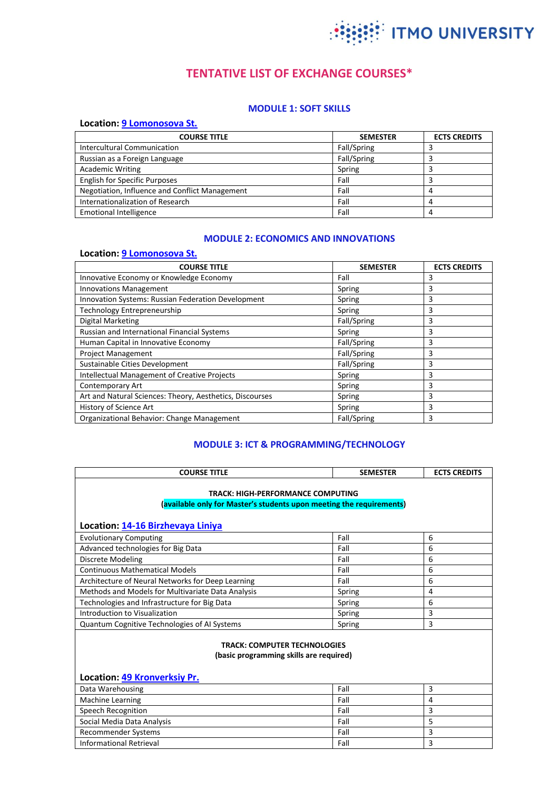

# **TENTATIVE LIST OF EXCHANGE COURSES\***

# **MODULE 1: SOFT SKILLS**

#### **Location[: 9 Lomonosova St.](http://en.ifmo.ru/en/map/5/ul._Lomonosova,_9.htm)**

| <b>COURSE TITLE</b>                            | <b>SEMESTER</b> | <b>ECTS CREDITS</b> |
|------------------------------------------------|-----------------|---------------------|
| Intercultural Communication                    | Fall/Spring     |                     |
| Russian as a Foreign Language                  | Fall/Spring     |                     |
| <b>Academic Writing</b>                        | Spring          |                     |
| <b>English for Specific Purposes</b>           | Fall            |                     |
| Negotiation, Influence and Conflict Management | Fall            | 4                   |
| Internationalization of Research               | Fall            |                     |
| <b>Emotional Intelligence</b>                  | Fall            | 4                   |

#### **MODULE 2: ECONOMICS AND INNOVATIONS**

#### **Location[: 9 Lomonosova St.](http://en.ifmo.ru/en/map/5/ul._Lomonosova,_9.htm)**

| <b>COURSE TITLE</b>                                       | <b>SEMESTER</b> | <b>ECTS CREDITS</b> |
|-----------------------------------------------------------|-----------------|---------------------|
| Innovative Economy or Knowledge Economy                   | Fall            | 3                   |
| <b>Innovations Management</b>                             | Spring          | 3                   |
| <b>Innovation Systems: Russian Federation Development</b> | Spring          | 3                   |
| Technology Entrepreneurship                               | Spring          | 3                   |
| Digital Marketing                                         | Fall/Spring     | 3                   |
| <b>Russian and International Financial Systems</b>        | Spring          | 3                   |
| Human Capital in Innovative Economy                       | Fall/Spring     | 3                   |
| <b>Project Management</b>                                 | Fall/Spring     | 3                   |
| Sustainable Cities Development                            | Fall/Spring     | 3                   |
| <b>Intellectual Management of Creative Projects</b>       | Spring          | 3                   |
| Contemporary Art                                          | Spring          | 3                   |
| Art and Natural Sciences: Theory, Aesthetics, Discourses  | Spring          | 3                   |
| History of Science Art                                    | Spring          | 3                   |
| Organizational Behavior: Change Management                | Fall/Spring     | 3                   |

# **MODULE 3: ICT & PROGRAMMING/TECHNOLOGY**

| <b>COURSE TITLE</b>                                                                                       | <b>SEMESTER</b> | <b>ECTS CREDITS</b> |
|-----------------------------------------------------------------------------------------------------------|-----------------|---------------------|
| TRACK: HIGH-PERFORMANCE COMPUTING<br>(available only for Master's students upon meeting the requirements) |                 |                     |
| Location: 14-16 Birzhevaya Liniya                                                                         |                 |                     |
| <b>Evolutionary Computing</b>                                                                             | Fall            | 6                   |
| Advanced technologies for Big Data                                                                        | Fall            | 6                   |
| Discrete Modeling                                                                                         | Fall            | 6                   |
| <b>Continuous Mathematical Models</b>                                                                     | Fall            | 6                   |
| Architecture of Neural Networks for Deep Learning                                                         | Fall            | 6                   |
| Methods and Models for Multivariate Data Analysis                                                         | Spring          | 4                   |
| Technologies and Infrastructure for Big Data                                                              | Spring          | 6                   |
| Introduction to Visualization                                                                             | Spring          | 3                   |
| Quantum Cognitive Technologies of AI Systems                                                              | Spring          | 3                   |
| <b>TRACK: COMPUTER TECHNOLOGIES</b><br>(basic programming skills are required)                            |                 |                     |

# **Location[: 49 Kronverksiy Pr.](http://en.ifmo.ru/en/map/1/Kronverkskiy_pr.,_49.htm)**

| Data Warehousing           | Fall |  |
|----------------------------|------|--|
| <b>Machine Learning</b>    | Fall |  |
| Speech Recognition         | Fall |  |
| Social Media Data Analysis | Fall |  |
| Recommender Systems        | Fall |  |
| Informational Retrieval    | Fall |  |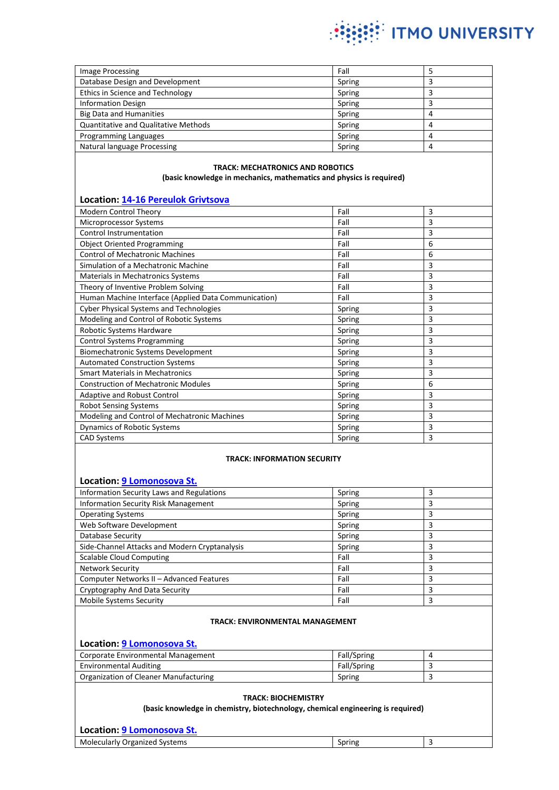

| <b>Image Processing</b>                     | Fall   |  |
|---------------------------------------------|--------|--|
| Database Design and Development             | Spring |  |
| Ethics in Science and Technology            | Spring |  |
| <b>Information Design</b>                   | Spring |  |
| <b>Big Data and Humanities</b>              | Spring |  |
| <b>Quantitative and Qualitative Methods</b> | Spring |  |
| Programming Languages                       | Spring |  |
| Natural language Processing                 | Spring |  |

#### **TRACK: MECHATRONICS AND ROBOTICS (basic knowledge in mechanics, mathematics and physics is required)**

## **Location[: 14-16 Pereulok Grivtsova](http://en.ifmo.ru/en/map/2/per._Grivtsova,_14-16.htm)**

| Modern Control Theory                                | Fall   | 3 |
|------------------------------------------------------|--------|---|
| Microprocessor Systems                               | Fall   | 3 |
| <b>Control Instrumentation</b>                       | Fall   | 3 |
| <b>Object Oriented Programming</b>                   | Fall   | 6 |
| <b>Control of Mechatronic Machines</b>               | Fall   | 6 |
| Simulation of a Mechatronic Machine                  | Fall   | 3 |
| <b>Materials in Mechatronics Systems</b>             | Fall   | 3 |
| Theory of Inventive Problem Solving                  | Fall   | 3 |
| Human Machine Interface (Applied Data Communication) | Fall   | 3 |
| <b>Cyber Physical Systems and Technologies</b>       | Spring | 3 |
| Modeling and Control of Robotic Systems              | Spring | 3 |
| Robotic Systems Hardware                             | Spring | 3 |
| <b>Control Systems Programming</b>                   | Spring | 3 |
| Biomechatronic Systems Development                   | Spring | 3 |
| <b>Automated Construction Systems</b>                | Spring | 3 |
| <b>Smart Materials in Mechatronics</b>               | Spring | 3 |
| <b>Construction of Mechatronic Modules</b>           | Spring | 6 |
| Adaptive and Robust Control                          | Spring | 3 |
| <b>Robot Sensing Systems</b>                         | Spring | 3 |
| Modeling and Control of Mechatronic Machines         | Spring | 3 |
| <b>Dynamics of Robotic Systems</b>                   | Spring | 3 |
| <b>CAD Systems</b>                                   | Spring | 3 |

#### **TRACK: INFORMATION SECURITY**

#### **Location[: 9 Lomonosova St.](http://en.ifmo.ru/en/map/5/ul._Lomonosova,_9.htm)**

| <b>Information Security Laws and Regulations</b> | Spring | 3 |
|--------------------------------------------------|--------|---|
| <b>Information Security Risk Management</b>      | Spring | 3 |
| <b>Operating Systems</b>                         | Spring |   |
| Web Software Development                         | Spring | 3 |
| Database Security                                | Spring |   |
| Side-Channel Attacks and Modern Cryptanalysis    | Spring | 3 |
| <b>Scalable Cloud Computing</b>                  | Fall   | 3 |
| <b>Network Security</b>                          | Fall   | 3 |
| Computer Networks II - Advanced Features         | Fall   | 3 |
| Cryptography And Data Security                   | Fall   | 3 |
| <b>Mobile Systems Security</b>                   | Fall   | 3 |

#### **TRACK: ENVIRONMENTAL MANAGEMENT**

## **Location[: 9 Lomonosova St.](http://en.ifmo.ru/en/map/5/ul._Lomonosova,_9.htm)**

| Corporate Environmental Management    | Fall/Spring |  |
|---------------------------------------|-------------|--|
| <b>Environmental Auditing</b>         | Fall/Spring |  |
| Organization of Cleaner Manufacturing | Spring      |  |

#### **TRACK: BIOCHEMISTRY**

**(basic knowledge in chemistry, biotechnology, chemical engineering is required)**

## **Location[: 9 Lomonosova St.](http://en.ifmo.ru/en/map/5/ul._Lomonosova,_9.htm)** Molecularly Organized Systems Spring 3 and Spring 3 and Spring 3 and Spring 3 and Spring 3 and Spring 3 and Spring 3 and Spring 3 and Spring 3 and Spring 3 and Spring 3 and Spring 3 and Spring 3 and Spring 3 and Spring 3 a